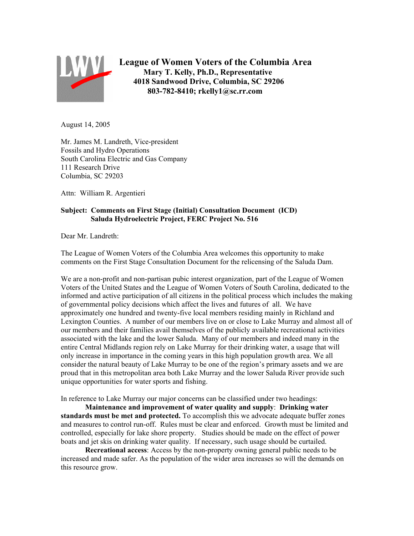

**League of Women Voters of the Columbia Area Mary T. Kelly, Ph.D., Representative 4018 Sandwood Drive, Columbia, SC 29206 803-782-8410; rkelly1@sc.rr.com**

August 14, 2005

Mr. James M. Landreth, Vice-president Fossils and Hydro Operations South Carolina Electric and Gas Company 111 Research Drive Columbia, SC 29203

Attn: William R. Argentieri

## **Subject: Comments on First Stage (Initial) Consultation Document (ICD) Saluda Hydroelectric Project, FERC Project No. 516**

Dear Mr. Landreth:

The League of Women Voters of the Columbia Area welcomes this opportunity to make comments on the First Stage Consultation Document for the relicensing of the Saluda Dam.

We are a non-profit and non-partisan pubic interest organization, part of the League of Women Voters of the United States and the League of Women Voters of South Carolina, dedicated to the informed and active participation of all citizens in the political process which includes the making of governmental policy decisions which affect the lives and futures of all. We have approximately one hundred and twenty-five local members residing mainly in Richland and Lexington Counties. A number of our members live on or close to Lake Murray and almost all of our members and their families avail themselves of the publicly available recreational activities associated with the lake and the lower Saluda. Many of our members and indeed many in the entire Central Midlands region rely on Lake Murray for their drinking water, a usage that will only increase in importance in the coming years in this high population growth area. We all consider the natural beauty of Lake Murray to be one of the region's primary assets and we are proud that in this metropolitan area both Lake Murray and the lower Saluda River provide such unique opportunities for water sports and fishing.

In reference to Lake Murray our major concerns can be classified under two headings:

**Maintenance and improvement of water quality and supply**: **Drinking water standards must be met and protected.** To accomplish this we advocate adequate buffer zones and measures to control run-off. Rules must be clear and enforced. Growth must be limited and controlled, especially for lake shore property. Studies should be made on the effect of power boats and jet skis on drinking water quality. If necessary, such usage should be curtailed.

**Recreational access**: Access by the non-property owning general public needs to be increased and made safer. As the population of the wider area increases so will the demands on this resource grow.